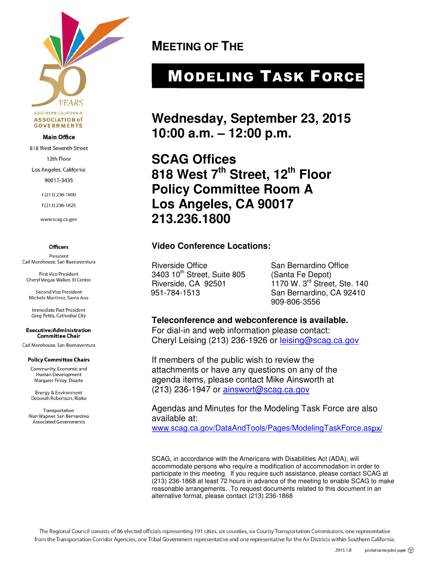

#### **Main Office**

818 West Seventh Street

12th Floor

Los Angeles, California

90017-3435

t (213) 236-1800

f(213) 236-1825

www.scag.ca.gov

#### **Officers**

President Carl Morehouse, San Buenaventura

First Vice President Cheryl Viegas-Walker, El Centro

**Second Vice President** Michele Martinez, Santa Ana

Immediate Past President Greg Pettis, Cathedral City

#### **Executive/Administration Committee Chair**

Carl Morehouse, San Buenaventura

#### **Policy Committee Chairs**

Community, Economic and Human Development Margaret Finlay, Duarte

Energy & Environment Deborah Robertson, Rialto

Transportation Alan Wapner, San Bernardino **Associated Governments** 

**MEETING OF THE** 

# MODELING TASK FORCE

**Wednesday, September 23, 2015 10:00 a.m. – 12:00 p.m.** 

**SCAG Offices 818 West 7th Street, 12th Floor Policy Committee Room A Los Angeles, CA 90017 213.236.1800** 

#### **Video Conference Locations:**

Riverside Office San Bernardino Office 3403 10<sup>th</sup> Street, Suite 805 (Santa Fe Depot)<br>Riverside, CA 92501 (1170 W. 3<sup>rd</sup> Stree

1170 W. 3<sup>rd</sup> Street, Ste. 140 951-784-1513 San Bernardino, CA 92410 909-806-3556

#### **Teleconference and webconference is available.**

For dial-in and web information please contact: Cheryl Leising (213) 236-1926 or leising@scag.ca.gov

If members of the public wish to review the attachments or have any questions on any of the agenda items, please contact Mike Ainsworth at (213) 236-1947 or ainswort@scag.ca.gov

Agendas and Minutes for the Modeling Task Force are also available at:

www.scag.ca.gov/DataAndTools/Pages/ModelingTaskForce.aspx/

SCAG, in accordance with the Americans with Disabilities Act (ADA), will accommodate persons who require a modification of accommodation in order to participate in this meeting. If you require such assistance, please contact SCAG at (213) 236-1868 at least 72 hours in advance of the meeting to enable SCAG to make reasonable arrangements. To request documents related to this document in an alternative format, please contact (213) 236-1868

The Regional Council consists of 86 elected officials representing 191 cities, six counties, six County Transportation Commissions, one representative from the Transportation Corridor Agencies, one Tribal Government representative and one representative for the Air Districts within Southern California.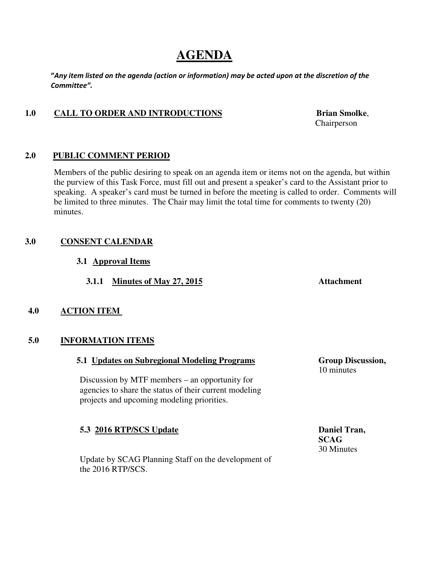## **AGENDA**

"Any item listed on the agenda (action or information) may be acted upon at the discretion of the Committee".

## 1.0 CALL TO ORDER AND INTRODUCTIONS Brian Smolke,

**2.0 PUBLIC COMMENT PERIOD** 

Members of the public desiring to speak on an agenda item or items not on the agenda, but within the purview of this Task Force, must fill out and present a speaker's card to the Assistant prior to speaking. A speaker's card must be turned in before the meeting is called to order. Comments will be limited to three minutes. The Chair may limit the total time for comments to twenty (20) minutes.

## **3.0 CONSENT CALENDAR**

- **3.1 Approval Items**
	- **3.1.1 Minutes of May 27, 2015 Attachment**

## **4.0 ACTION ITEM**

#### **5.0 INFORMATION ITEMS**

#### **5.1 Updates on Subregional Modeling Programs Group Discussion,**

Discussion by MTF members – an opportunity for agencies to share the status of their current modeling projects and upcoming modeling priorities.

## **5.3 2016 RTP/SCS Update** Daniel Tran,

 Update by SCAG Planning Staff on the development of the 2016 RTP/SCS.

 **SCAG**  30 Minutes

10 minutes

Chairperson